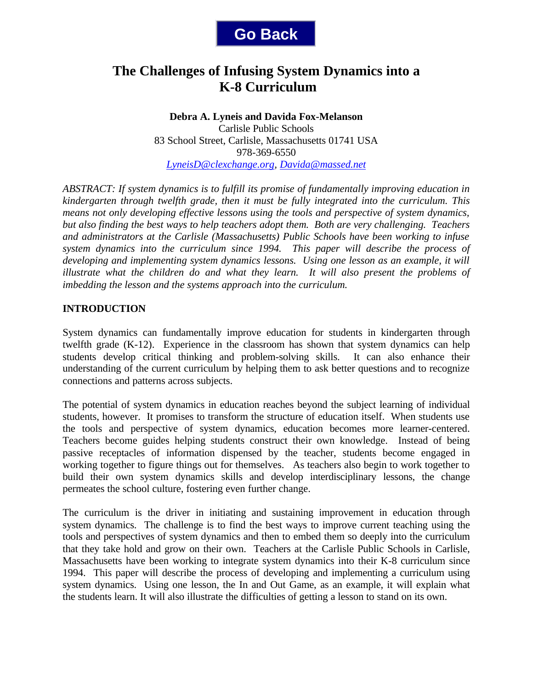

# **The Challenges of Infusing System Dynamics into a K-8 Curriculum**

**Debra A. Lyneis and Davida Fox-Melanson** Carlisle Public Schools 83 School Street, Carlisle, Massachusetts 01741 USA 978-369-6550 *LyneisD@clexchange.org, Davida@massed.net*

*ABSTRACT: If system dynamics is to fulfill its promise of fundamentally improving education in kindergarten through twelfth grade, then it must be fully integrated into the curriculum. This means not only developing effective lessons using the tools and perspective of system dynamics, but also finding the best ways to help teachers adopt them. Both are very challenging. Teachers and administrators at the Carlisle (Massachusetts) Public Schools have been working to infuse system dynamics into the curriculum since 1994. This paper will describe the process of developing and implementing system dynamics lessons. Using one lesson as an example, it will illustrate what the children do and what they learn. It will also present the problems of imbedding the lesson and the systems approach into the curriculum.* 

## **INTRODUCTION**

System dynamics can fundamentally improve education for students in kindergarten through twelfth grade (K-12). Experience in the classroom has shown that system dynamics can help students develop critical thinking and problem-solving skills. It can also enhance their understanding of the current curriculum by helping them to ask better questions and to recognize connections and patterns across subjects.

The potential of system dynamics in education reaches beyond the subject learning of individual students, however. It promises to transform the structure of education itself. When students use the tools and perspective of system dynamics, education becomes more learner-centered. Teachers become guides helping students construct their own knowledge. Instead of being passive receptacles of information dispensed by the teacher, students become engaged in working together to figure things out for themselves. As teachers also begin to work together to build their own system dynamics skills and develop interdisciplinary lessons, the change permeates the school culture, fostering even further change.

The curriculum is the driver in initiating and sustaining improvement in education through system dynamics. The challenge is to find the best ways to improve current teaching using the tools and perspectives of system dynamics and then to embed them so deeply into the curriculum that they take hold and grow on their own. Teachers at the Carlisle Public Schools in Carlisle, Massachusetts have been working to integrate system dynamics into their K-8 curriculum since 1994. This paper will describe the process of developing and implementing a curriculum using system dynamics. Using one lesson, the In and Out Game, as an example, it will explain what the students learn. It will also illustrate the difficulties of getting a lesson to stand on its own.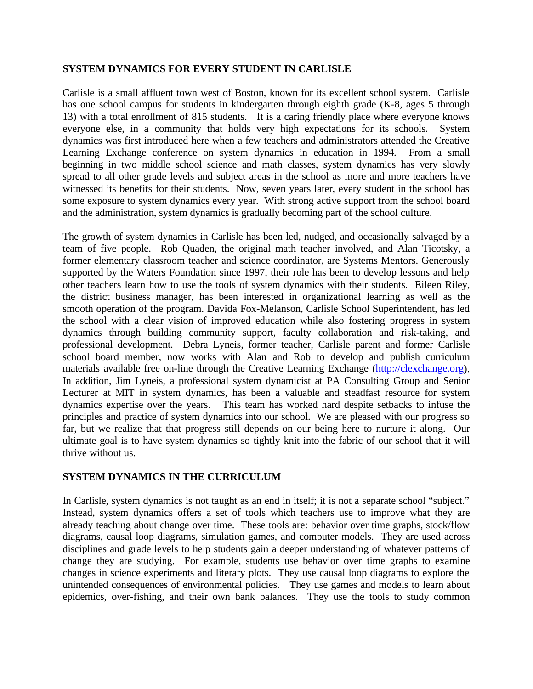## **SYSTEM DYNAMICS FOR EVERY STUDENT IN CARLISLE**

Carlisle is a small affluent town west of Boston, known for its excellent school system. Carlisle has one school campus for students in kindergarten through eighth grade (K-8, ages 5 through 13) with a total enrollment of 815 students. It is a caring friendly place where everyone knows everyone else, in a community that holds very high expectations for its schools. System dynamics was first introduced here when a few teachers and administrators attended the Creative Learning Exchange conference on system dynamics in education in 1994. From a small beginning in two middle school science and math classes, system dynamics has very slowly spread to all other grade levels and subject areas in the school as more and more teachers have witnessed its benefits for their students. Now, seven years later, every student in the school has some exposure to system dynamics every year. With strong active support from the school board and the administration, system dynamics is gradually becoming part of the school culture.

The growth of system dynamics in Carlisle has been led, nudged, and occasionally salvaged by a team of five people. Rob Quaden, the original math teacher involved, and Alan Ticotsky, a former elementary classroom teacher and science coordinator, are Systems Mentors. Generously supported by the Waters Foundation since 1997, their role has been to develop lessons and help other teachers learn how to use the tools of system dynamics with their students. Eileen Riley, the district business manager, has been interested in organizational learning as well as the smooth operation of the program. Davida Fox-Melanson, Carlisle School Superintendent, has led the school with a clear vision of improved education while also fostering progress in system dynamics through building community support, faculty collaboration and risk-taking, and professional development. Debra Lyneis, former teacher, Carlisle parent and former Carlisle school board member, now works with Alan and Rob to develop and publish curriculum materials available free on-line through the Creative Learning Exchange (http://clexchange.org). In addition, Jim Lyneis, a professional system dynamicist at PA Consulting Group and Senior Lecturer at MIT in system dynamics, has been a valuable and steadfast resource for system dynamics expertise over the years. This team has worked hard despite setbacks to infuse the principles and practice of system dynamics into our school. We are pleased with our progress so far, but we realize that that progress still depends on our being here to nurture it along. Our ultimate goal is to have system dynamics so tightly knit into the fabric of our school that it will thrive without us.

## **SYSTEM DYNAMICS IN THE CURRICULUM**

In Carlisle, system dynamics is not taught as an end in itself; it is not a separate school "subject." Instead, system dynamics offers a set of tools which teachers use to improve what they are already teaching about change over time. These tools are: behavior over time graphs, stock/flow diagrams, causal loop diagrams, simulation games, and computer models. They are used across disciplines and grade levels to help students gain a deeper understanding of whatever patterns of change they are studying. For example, students use behavior over time graphs to examine changes in science experiments and literary plots. They use causal loop diagrams to explore the unintended consequences of environmental policies. They use games and models to learn about epidemics, over-fishing, and their own bank balances. They use the tools to study common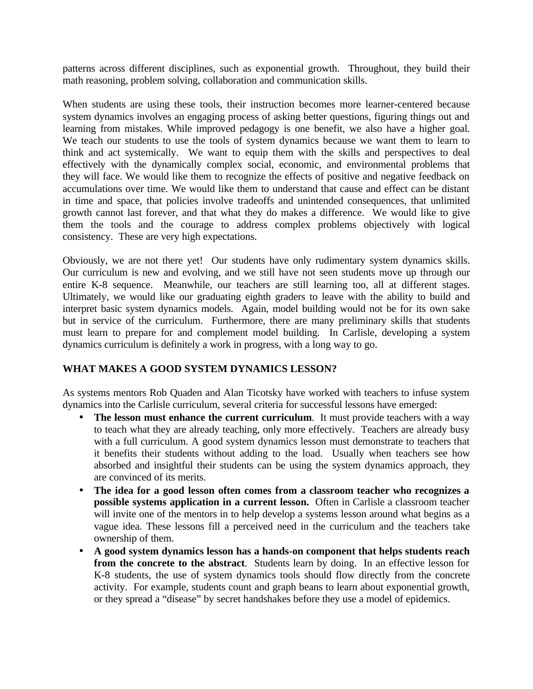patterns across different disciplines, such as exponential growth. Throughout, they build their math reasoning, problem solving, collaboration and communication skills.

When students are using these tools, their instruction becomes more learner-centered because system dynamics involves an engaging process of asking better questions, figuring things out and learning from mistakes. While improved pedagogy is one benefit, we also have a higher goal. We teach our students to use the tools of system dynamics because we want them to learn to think and act systemically. We want to equip them with the skills and perspectives to deal effectively with the dynamically complex social, economic, and environmental problems that they will face. We would like them to recognize the effects of positive and negative feedback on accumulations over time. We would like them to understand that cause and effect can be distant in time and space, that policies involve tradeoffs and unintended consequences, that unlimited growth cannot last forever, and that what they do makes a difference. We would like to give them the tools and the courage to address complex problems objectively with logical consistency. These are very high expectations.

Obviously, we are not there yet! Our students have only rudimentary system dynamics skills. Our curriculum is new and evolving, and we still have not seen students move up through our entire K-8 sequence. Meanwhile, our teachers are still learning too, all at different stages. Ultimately, we would like our graduating eighth graders to leave with the ability to build and interpret basic system dynamics models. Again, model building would not be for its own sake but in service of the curriculum. Furthermore, there are many preliminary skills that students must learn to prepare for and complement model building. In Carlisle, developing a system dynamics curriculum is definitely a work in progress, with a long way to go.

## **WHAT MAKES A GOOD SYSTEM DYNAMICS LESSON?**

As systems mentors Rob Quaden and Alan Ticotsky have worked with teachers to infuse system dynamics into the Carlisle curriculum, several criteria for successful lessons have emerged:

- The lesson must enhance the current curriculum. It must provide teachers with a way to teach what they are already teaching, only more effectively. Teachers are already busy with a full curriculum. A good system dynamics lesson must demonstrate to teachers that it benefits their students without adding to the load. Usually when teachers see how absorbed and insightful their students can be using the system dynamics approach, they are convinced of its merits.
- **The idea for a good lesson often comes from a classroom teacher who recognizes a possible systems application in a current lesson.** Often in Carlisle a classroom teacher will invite one of the mentors in to help develop a systems lesson around what begins as a vague idea. These lessons fill a perceived need in the curriculum and the teachers take ownership of them.
- **A good system dynamics lesson has a hands-on component that helps students reach from the concrete to the abstract**. Students learn by doing. In an effective lesson for K-8 students, the use of system dynamics tools should flow directly from the concrete activity. For example, students count and graph beans to learn about exponential growth, or they spread a "disease" by secret handshakes before they use a model of epidemics.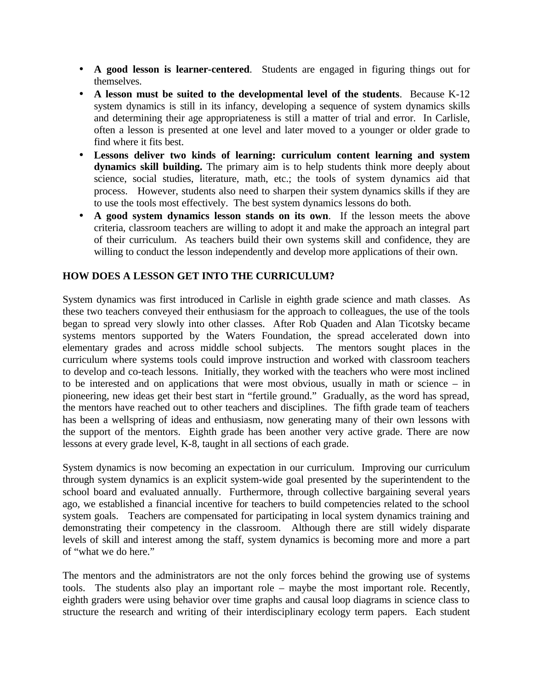- **A good lesson is learner-centered**. Students are engaged in figuring things out for themselves.
- **A lesson must be suited to the developmental level of the students**. Because K-12 system dynamics is still in its infancy, developing a sequence of system dynamics skills and determining their age appropriateness is still a matter of trial and error. In Carlisle, often a lesson is presented at one level and later moved to a younger or older grade to find where it fits best.
- **Lessons deliver two kinds of learning: curriculum content learning and system dynamics skill building.** The primary aim is to help students think more deeply about science, social studies, literature, math, etc.; the tools of system dynamics aid that process. However, students also need to sharpen their system dynamics skills if they are to use the tools most effectively. The best system dynamics lessons do both.
- **A good system dynamics lesson stands on its own**. If the lesson meets the above criteria, classroom teachers are willing to adopt it and make the approach an integral part of their curriculum. As teachers build their own systems skill and confidence, they are willing to conduct the lesson independently and develop more applications of their own.

## **HOW DOES A LESSON GET INTO THE CURRICULUM?**

System dynamics was first introduced in Carlisle in eighth grade science and math classes. As these two teachers conveyed their enthusiasm for the approach to colleagues, the use of the tools began to spread very slowly into other classes. After Rob Quaden and Alan Ticotsky became systems mentors supported by the Waters Foundation, the spread accelerated down into elementary grades and across middle school subjects. The mentors sought places in the curriculum where systems tools could improve instruction and worked with classroom teachers to develop and co-teach lessons. Initially, they worked with the teachers who were most inclined to be interested and on applications that were most obvious, usually in math or science – in pioneering, new ideas get their best start in "fertile ground." Gradually, as the word has spread, the mentors have reached out to other teachers and disciplines. The fifth grade team of teachers has been a wellspring of ideas and enthusiasm, now generating many of their own lessons with the support of the mentors. Eighth grade has been another very active grade. There are now lessons at every grade level, K-8, taught in all sections of each grade.

System dynamics is now becoming an expectation in our curriculum. Improving our curriculum through system dynamics is an explicit system-wide goal presented by the superintendent to the school board and evaluated annually. Furthermore, through collective bargaining several years ago, we established a financial incentive for teachers to build competencies related to the school system goals. Teachers are compensated for participating in local system dynamics training and demonstrating their competency in the classroom. Although there are still widely disparate levels of skill and interest among the staff, system dynamics is becoming more and more a part of "what we do here."

The mentors and the administrators are not the only forces behind the growing use of systems tools. The students also play an important role – maybe the most important role. Recently, eighth graders were using behavior over time graphs and causal loop diagrams in science class to structure the research and writing of their interdisciplinary ecology term papers. Each student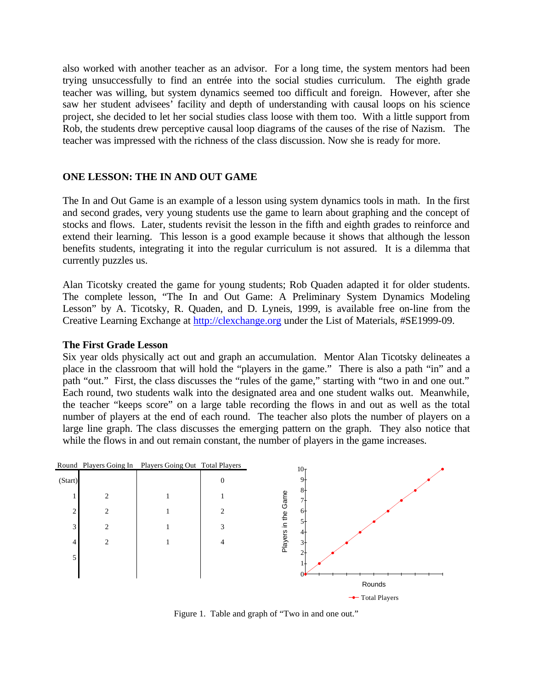also worked with another teacher as an advisor. For a long time, the system mentors had been trying unsuccessfully to find an entrée into the social studies curriculum. The eighth grade teacher was willing, but system dynamics seemed too difficult and foreign. However, after she saw her student advisees' facility and depth of understanding with causal loops on his science project, she decided to let her social studies class loose with them too. With a little support from Rob, the students drew perceptive causal loop diagrams of the causes of the rise of Nazism. The teacher was impressed with the richness of the class discussion. Now she is ready for more.

#### **ONE LESSON: THE IN AND OUT GAME**

The In and Out Game is an example of a lesson using system dynamics tools in math. In the first and second grades, very young students use the game to learn about graphing and the concept of stocks and flows. Later, students revisit the lesson in the fifth and eighth grades to reinforce and extend their learning. This lesson is a good example because it shows that although the lesson benefits students, integrating it into the regular curriculum is not assured. It is a dilemma that currently puzzles us.

Alan Ticotsky created the game for young students; Rob Quaden adapted it for older students. The complete lesson, "The In and Out Game: A Preliminary System Dynamics Modeling Lesson" by A. Ticotsky, R. Quaden, and D. Lyneis, 1999, is available free on-line from the Creative Learning Exchange at http://clexchange.org under the List of Materials, #SE1999-09.

#### **The First Grade Lesson**

Six year olds physically act out and graph an accumulation. Mentor Alan Ticotsky delineates a place in the classroom that will hold the "players in the game." There is also a path "in" and a path "out." First, the class discusses the "rules of the game," starting with "two in and one out." Each round, two students walk into the designated area and one student walks out. Meanwhile, the teacher "keeps score" on a large table recording the flows in and out as well as the total number of players at the end of each round. The teacher also plots the number of players on a large line graph. The class discusses the emerging pattern on the graph. They also notice that while the flows in and out remain constant, the number of players in the game increases.



Figure 1. Table and graph of "Two in and one out."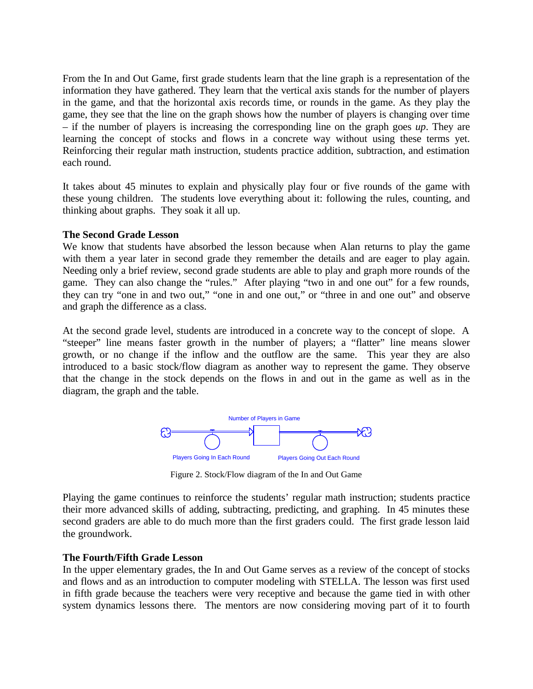From the In and Out Game, first grade students learn that the line graph is a representation of the information they have gathered. They learn that the vertical axis stands for the number of players in the game, and that the horizontal axis records time, or rounds in the game. As they play the game, they see that the line on the graph shows how the number of players is changing over time – if the number of players is increasing the corresponding line on the graph goes *up*. They are learning the concept of stocks and flows in a concrete way without using these terms yet. Reinforcing their regular math instruction, students practice addition, subtraction, and estimation each round.

It takes about 45 minutes to explain and physically play four or five rounds of the game with these young children. The students love everything about it: following the rules, counting, and thinking about graphs. They soak it all up.

#### **The Second Grade Lesson**

We know that students have absorbed the lesson because when Alan returns to play the game with them a year later in second grade they remember the details and are eager to play again. Needing only a brief review, second grade students are able to play and graph more rounds of the game. They can also change the "rules." After playing "two in and one out" for a few rounds, they can try "one in and two out," "one in and one out," or "three in and one out" and observe and graph the difference as a class.

At the second grade level, students are introduced in a concrete way to the concept of slope. A "steeper" line means faster growth in the number of players; a "flatter" line means slower growth, or no change if the inflow and the outflow are the same. This year they are also introduced to a basic stock/flow diagram as another way to represent the game. They observe that the change in the stock depends on the flows in and out in the game as well as in the diagram, the graph and the table.



Figure 2. Stock/Flow diagram of the In and Out Game

Playing the game continues to reinforce the students' regular math instruction; students practice their more advanced skills of adding, subtracting, predicting, and graphing. In 45 minutes these second graders are able to do much more than the first graders could. The first grade lesson laid the groundwork.

#### **The Fourth/Fifth Grade Lesson**

In the upper elementary grades, the In and Out Game serves as a review of the concept of stocks and flows and as an introduction to computer modeling with STELLA. The lesson was first used in fifth grade because the teachers were very receptive and because the game tied in with other system dynamics lessons there. The mentors are now considering moving part of it to fourth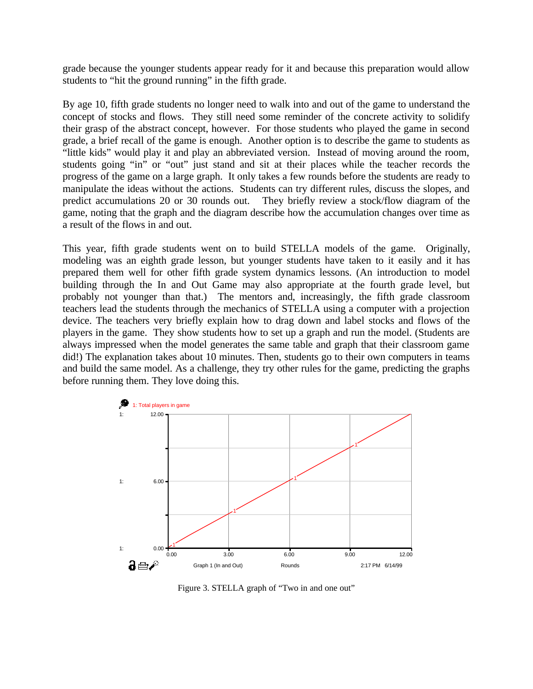grade because the younger students appear ready for it and because this preparation would allow students to "hit the ground running" in the fifth grade.

By age 10, fifth grade students no longer need to walk into and out of the game to understand the concept of stocks and flows. They still need some reminder of the concrete activity to solidify their grasp of the abstract concept, however. For those students who played the game in second grade, a brief recall of the game is enough. Another option is to describe the game to students as "little kids" would play it and play an abbreviated version. Instead of moving around the room, students going "in" or "out" just stand and sit at their places while the teacher records the progress of the game on a large graph. It only takes a few rounds before the students are ready to manipulate the ideas without the actions. Students can try different rules, discuss the slopes, and predict accumulations 20 or 30 rounds out. They briefly review a stock/flow diagram of the game, noting that the graph and the diagram describe how the accumulation changes over time as a result of the flows in and out.

This year, fifth grade students went on to build STELLA models of the game. Originally, modeling was an eighth grade lesson, but younger students have taken to it easily and it has prepared them well for other fifth grade system dynamics lessons. (An introduction to model building through the In and Out Game may also appropriate at the fourth grade level, but probably not younger than that.) The mentors and, increasingly, the fifth grade classroom teachers lead the students through the mechanics of STELLA using a computer with a projection device. The teachers very briefly explain how to drag down and label stocks and flows of the players in the game. They show students how to set up a graph and run the model. (Students are always impressed when the model generates the same table and graph that their classroom game did!) The explanation takes about 10 minutes. Then, students go to their own computers in teams and build the same model. As a challenge, they try other rules for the game, predicting the graphs before running them. They love doing this.



Figure 3. STELLA graph of "Two in and one out"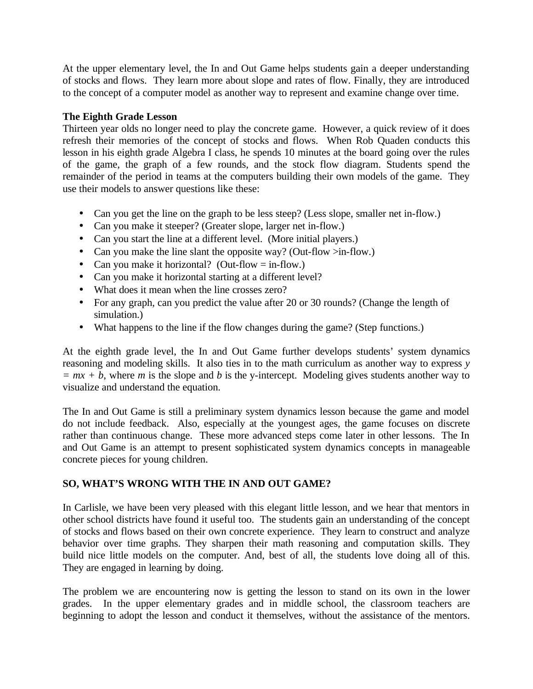At the upper elementary level, the In and Out Game helps students gain a deeper understanding of stocks and flows. They learn more about slope and rates of flow. Finally, they are introduced to the concept of a computer model as another way to represent and examine change over time.

## **The Eighth Grade Lesson**

Thirteen year olds no longer need to play the concrete game. However, a quick review of it does refresh their memories of the concept of stocks and flows. When Rob Quaden conducts this lesson in his eighth grade Algebra I class, he spends 10 minutes at the board going over the rules of the game, the graph of a few rounds, and the stock flow diagram. Students spend the remainder of the period in teams at the computers building their own models of the game. They use their models to answer questions like these:

- Can you get the line on the graph to be less steep? (Less slope, smaller net in-flow.)
- Can you make it steeper? (Greater slope, larger net in-flow.)
- Can you start the line at a different level. (More initial players.)
- Can you make the line slant the opposite way? (Out-flow  $\geq$  in-flow.)
- Can you make it horizontal? (Out-flow  $=$  in-flow.)
- Can you make it horizontal starting at a different level?
- What does it mean when the line crosses zero?
- For any graph, can you predict the value after 20 or 30 rounds? (Change the length of simulation.)
- What happens to the line if the flow changes during the game? (Step functions.)

At the eighth grade level, the In and Out Game further develops students' system dynamics reasoning and modeling skills. It also ties in to the math curriculum as another way to express *y*   $= mx + b$ , where *m* is the slope and *b* is the y-intercept. Modeling gives students another way to visualize and understand the equation.

The In and Out Game is still a preliminary system dynamics lesson because the game and model do not include feedback. Also, especially at the youngest ages, the game focuses on discrete rather than continuous change. These more advanced steps come later in other lessons. The In and Out Game is an attempt to present sophisticated system dynamics concepts in manageable concrete pieces for young children.

# **SO, WHAT'S WRONG WITH THE IN AND OUT GAME?**

In Carlisle, we have been very pleased with this elegant little lesson, and we hear that mentors in other school districts have found it useful too. The students gain an understanding of the concept of stocks and flows based on their own concrete experience. They learn to construct and analyze behavior over time graphs. They sharpen their math reasoning and computation skills. They build nice little models on the computer. And, best of all, the students love doing all of this. They are engaged in learning by doing.

The problem we are encountering now is getting the lesson to stand on its own in the lower grades. In the upper elementary grades and in middle school, the classroom teachers are beginning to adopt the lesson and conduct it themselves, without the assistance of the mentors.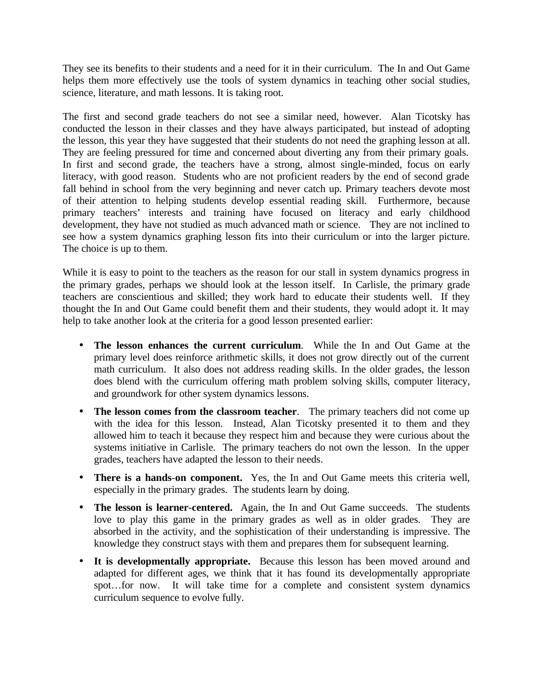They see its benefits to their students and a need for it in their curriculum. The In and Out Game helps them more effectively use the tools of system dynamics in teaching other social studies, science, literature, and math lessons. It is taking root.

The first and second grade teachers do not see a similar need, however. Alan Ticotsky has conducted the lesson in their classes and they have always participated, but instead of adopting the lesson, this year they have suggested that their students do not need the graphing lesson at all. They are feeling pressured for time and concerned about diverting any from their primary goals. In first and second grade, the teachers have a strong, almost single-minded, focus on early literacy, with good reason. Students who are not proficient readers by the end of second grade fall behind in school from the very beginning and never catch up. Primary teachers devote most of their attention to helping students develop essential reading skill. Furthermore, because primary teachers' interests and training have focused on literacy and early childhood development, they have not studied as much advanced math or science. They are not inclined to see how a system dynamics graphing lesson fits into their curriculum or into the larger picture. The choice is up to them.

While it is easy to point to the teachers as the reason for our stall in system dynamics progress in the primary grades, perhaps we should look at the lesson itself. In Carlisle, the primary grade teachers are conscientious and skilled; they work hard to educate their students well. If they thought the In and Out Game could benefit them and their students, they would adopt it. It may help to take another look at the criteria for a good lesson presented earlier:

- **The lesson enhances the current curriculum**. While the In and Out Game at the primary level does reinforce arithmetic skills, it does not grow directly out of the current math curriculum. It also does not address reading skills. In the older grades, the lesson does blend with the curriculum offering math problem solving skills, computer literacy, and groundwork for other system dynamics lessons.
- **The lesson comes from the classroom teacher**. The primary teachers did not come up with the idea for this lesson. Instead, Alan Ticotsky presented it to them and they allowed him to teach it because they respect him and because they were curious about the systems initiative in Carlisle. The primary teachers do not own the lesson. In the upper grades, teachers have adapted the lesson to their needs.
- **There is a hands**-**on component.** Yes, the In and Out Game meets this criteria well, especially in the primary grades. The students learn by doing.
- **The lesson is learner**-**centered.** Again, the In and Out Game succeeds. The students love to play this game in the primary grades as well as in older grades. They are absorbed in the activity, and the sophistication of their understanding is impressive. The knowledge they construct stays with them and prepares them for subsequent learning.
- **It is developmentally appropriate.** Because this lesson has been moved around and adapted for different ages, we think that it has found its developmentally appropriate spot…for now. It will take time for a complete and consistent system dynamics curriculum sequence to evolve fully.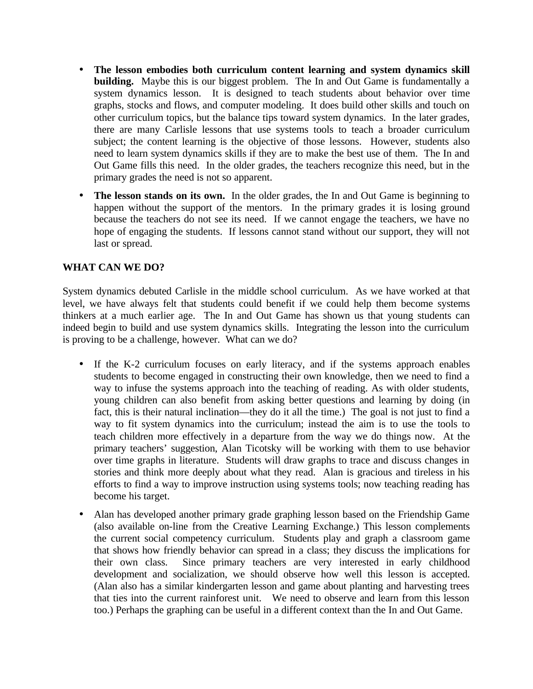- **The lesson embodies both curriculum content learning and system dynamics skill building.** Maybe this is our biggest problem. The In and Out Game is fundamentally a system dynamics lesson. It is designed to teach students about behavior over time graphs, stocks and flows, and computer modeling. It does build other skills and touch on other curriculum topics, but the balance tips toward system dynamics. In the later grades, there are many Carlisle lessons that use systems tools to teach a broader curriculum subject; the content learning is the objective of those lessons. However, students also need to learn system dynamics skills if they are to make the best use of them. The In and Out Game fills this need. In the older grades, the teachers recognize this need, but in the primary grades the need is not so apparent.
- The lesson stands on its own. In the older grades, the In and Out Game is beginning to happen without the support of the mentors. In the primary grades it is losing ground because the teachers do not see its need. If we cannot engage the teachers, we have no hope of engaging the students. If lessons cannot stand without our support, they will not last or spread.

## **WHAT CAN WE DO?**

System dynamics debuted Carlisle in the middle school curriculum. As we have worked at that level, we have always felt that students could benefit if we could help them become systems thinkers at a much earlier age. The In and Out Game has shown us that young students can indeed begin to build and use system dynamics skills. Integrating the lesson into the curriculum is proving to be a challenge, however. What can we do?

- If the K-2 curriculum focuses on early literacy, and if the systems approach enables students to become engaged in constructing their own knowledge, then we need to find a way to infuse the systems approach into the teaching of reading. As with older students, young children can also benefit from asking better questions and learning by doing (in fact, this is their natural inclination—they do it all the time.) The goal is not just to find a way to fit system dynamics into the curriculum; instead the aim is to use the tools to teach children more effectively in a departure from the way we do things now. At the primary teachers' suggestion, Alan Ticotsky will be working with them to use behavior over time graphs in literature. Students will draw graphs to trace and discuss changes in stories and think more deeply about what they read. Alan is gracious and tireless in his efforts to find a way to improve instruction using systems tools; now teaching reading has become his target.
- Alan has developed another primary grade graphing lesson based on the Friendship Game (also available on-line from the Creative Learning Exchange.) This lesson complements the current social competency curriculum. Students play and graph a classroom game that shows how friendly behavior can spread in a class; they discuss the implications for their own class. Since primary teachers are very interested in early childhood development and socialization, we should observe how well this lesson is accepted. (Alan also has a similar kindergarten lesson and game about planting and harvesting trees that ties into the current rainforest unit. We need to observe and learn from this lesson too.) Perhaps the graphing can be useful in a different context than the In and Out Game.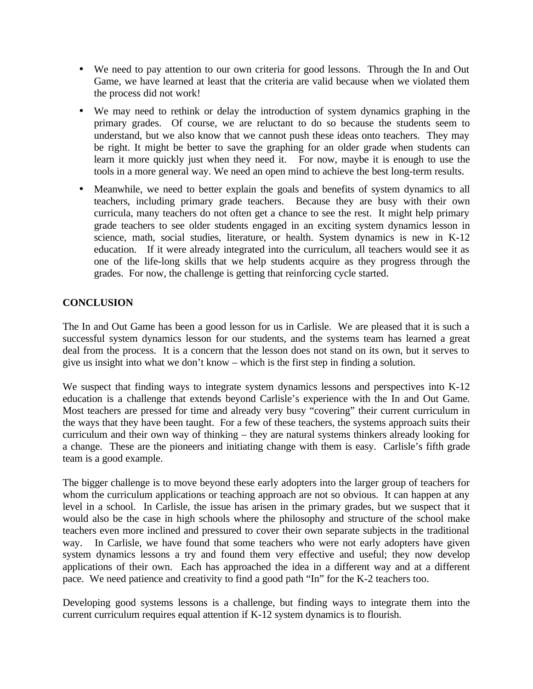- We need to pay attention to our own criteria for good lessons. Through the In and Out Game, we have learned at least that the criteria are valid because when we violated them the process did not work!
- We may need to rethink or delay the introduction of system dynamics graphing in the primary grades. Of course, we are reluctant to do so because the students seem to understand, but we also know that we cannot push these ideas onto teachers. They may be right. It might be better to save the graphing for an older grade when students can learn it more quickly just when they need it. For now, maybe it is enough to use the tools in a more general way. We need an open mind to achieve the best long-term results.
- Meanwhile, we need to better explain the goals and benefits of system dynamics to all teachers, including primary grade teachers. Because they are busy with their own curricula, many teachers do not often get a chance to see the rest. It might help primary grade teachers to see older students engaged in an exciting system dynamics lesson in science, math, social studies, literature, or health. System dynamics is new in K-12 education. If it were already integrated into the curriculum, all teachers would see it as one of the life-long skills that we help students acquire as they progress through the grades. For now, the challenge is getting that reinforcing cycle started.

## **CONCLUSION**

The In and Out Game has been a good lesson for us in Carlisle. We are pleased that it is such a successful system dynamics lesson for our students, and the systems team has learned a great deal from the process. It is a concern that the lesson does not stand on its own, but it serves to give us insight into what we don't know – which is the first step in finding a solution.

We suspect that finding ways to integrate system dynamics lessons and perspectives into K-12 education is a challenge that extends beyond Carlisle's experience with the In and Out Game. Most teachers are pressed for time and already very busy "covering" their current curriculum in the ways that they have been taught. For a few of these teachers, the systems approach suits their curriculum and their own way of thinking – they are natural systems thinkers already looking for a change. These are the pioneers and initiating change with them is easy. Carlisle's fifth grade team is a good example.

The bigger challenge is to move beyond these early adopters into the larger group of teachers for whom the curriculum applications or teaching approach are not so obvious. It can happen at any level in a school. In Carlisle, the issue has arisen in the primary grades, but we suspect that it would also be the case in high schools where the philosophy and structure of the school make teachers even more inclined and pressured to cover their own separate subjects in the traditional way. In Carlisle, we have found that some teachers who were not early adopters have given system dynamics lessons a try and found them very effective and useful; they now develop applications of their own. Each has approached the idea in a different way and at a different pace. We need patience and creativity to find a good path "In" for the K-2 teachers too.

Developing good systems lessons is a challenge, but finding ways to integrate them into the current curriculum requires equal attention if K-12 system dynamics is to flourish.